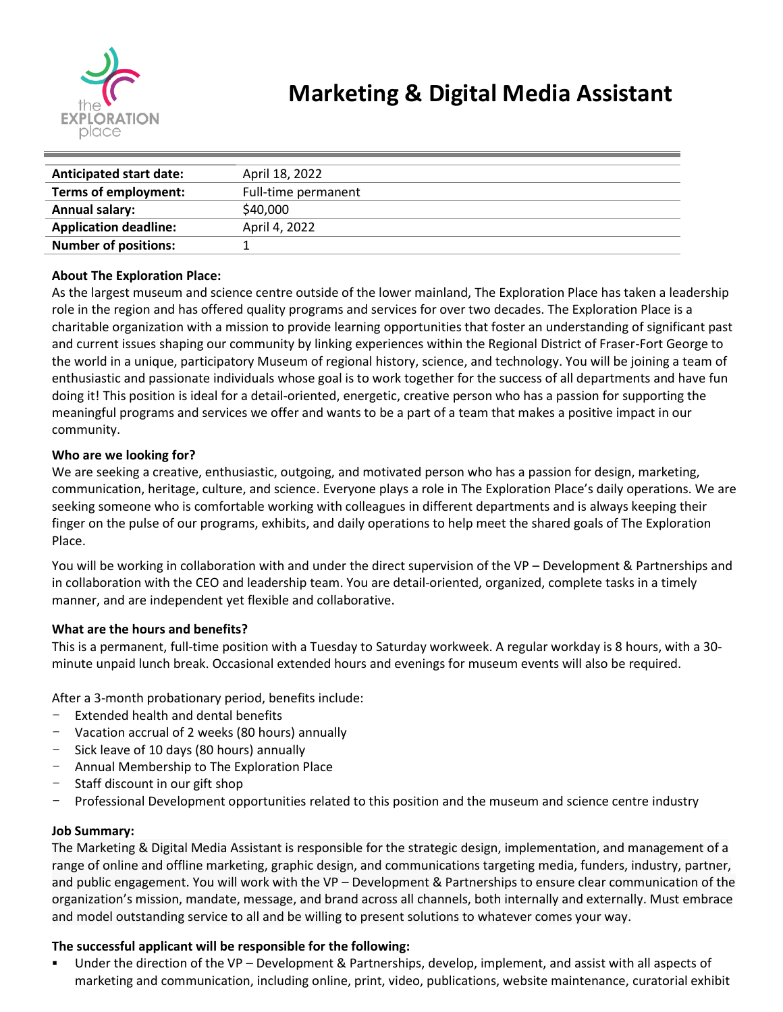

| <b>Anticipated start date:</b> | April 18, 2022      |
|--------------------------------|---------------------|
| Terms of employment:           | Full-time permanent |
| <b>Annual salary:</b>          | \$40,000            |
| <b>Application deadline:</b>   | April 4, 2022       |
| <b>Number of positions:</b>    |                     |

## **About The Exploration Place:**

As the largest museum and science centre outside of the lower mainland, The Exploration Place has taken a leadership role in the region and has offered quality programs and services for over two decades. The Exploration Place is a charitable organization with a mission to provide learning opportunities that foster an understanding of significant past and current issues shaping our community by linking experiences within the Regional District of Fraser-Fort George to the world in a unique, participatory Museum of regional history, science, and technology. You will be joining a team of enthusiastic and passionate individuals whose goal is to work together for the success of all departments and have fun doing it! This position is ideal for a detail-oriented, energetic, creative person who has a passion for supporting the meaningful programs and services we offer and wants to be a part of a team that makes a positive impact in our community.

## **Who are we looking for?**

We are seeking a creative, enthusiastic, outgoing, and motivated person who has a passion for design, marketing, communication, heritage, culture, and science. Everyone plays a role in The Exploration Place's daily operations. We are seeking someone who is comfortable working with colleagues in different departments and is always keeping their finger on the pulse of our programs, exhibits, and daily operations to help meet the shared goals of The Exploration Place.

You will be working in collaboration with and under the direct supervision of the VP – Development & Partnerships and in collaboration with the CEO and leadership team. You are detail-oriented, organized, complete tasks in a timely manner, and are independent yet flexible and collaborative.

#### **What are the hours and benefits?**

This is a permanent, full-time position with a Tuesday to Saturday workweek. A regular workday is 8 hours, with a 30 minute unpaid lunch break. Occasional extended hours and evenings for museum events will also be required.

After a 3-month probationary period, benefits include:

- Extended health and dental benefits
- Vacation accrual of 2 weeks (80 hours) annually
- Sick leave of 10 days (80 hours) annually
- Annual Membership to The Exploration Place
- Staff discount in our gift shop
- Professional Development opportunities related to this position and the museum and science centre industry

#### **Job Summary:**

The Marketing & Digital Media Assistant is responsible for the strategic design, implementation, and management of a range of online and offline marketing, graphic design, and communications targeting media, funders, industry, partner, and public engagement. You will work with the VP – Development & Partnerships to ensure clear communication of the organization's mission, mandate, message, and brand across all channels, both internally and externally. Must embrace and model outstanding service to all and be willing to present solutions to whatever comes your way.

#### **The successful applicant will be responsible for the following:**

Under the direction of the VP – Development & Partnerships, develop, implement, and assist with all aspects of marketing and communication, including online, print, video, publications, website maintenance, curatorial exhibit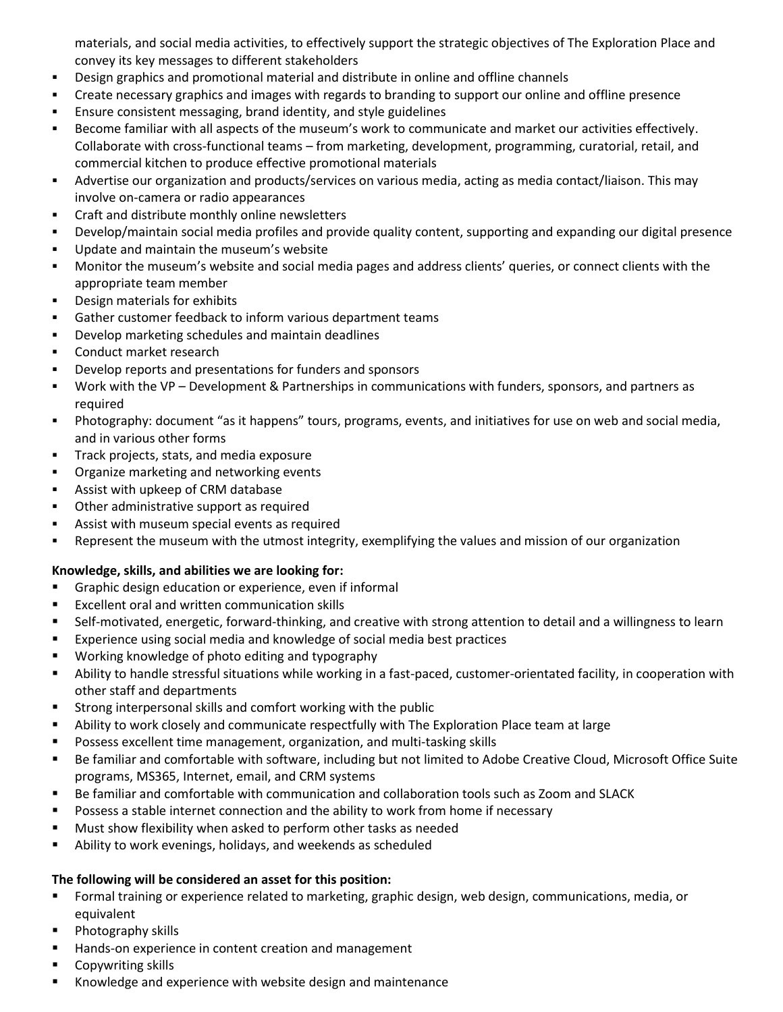materials, and social media activities, to effectively support the strategic objectives of The Exploration Place and convey its key messages to different stakeholders

- **•** Design graphics and promotional material and distribute in online and offline channels
- Create necessary graphics and images with regards to branding to support our online and offline presence
- **Ensure consistent messaging, brand identity, and style guidelines**
- Become familiar with all aspects of the museum's work to communicate and market our activities effectively. Collaborate with cross-functional teams – from marketing, development, programming, curatorial, retail, and commercial kitchen to produce effective promotional materials
- Advertise our organization and products/services on various media, acting as media contact/liaison. This may involve on-camera or radio appearances
- Craft and distribute monthly online newsletters
- Develop/maintain social media profiles and provide quality content, supporting and expanding our digital presence
- Update and maintain the museum's website
- Monitor the museum's website and social media pages and address clients' queries, or connect clients with the appropriate team member
- Design materials for exhibits
- Gather customer feedback to inform various department teams
- Develop marketing schedules and maintain deadlines
- Conduct market research
- Develop reports and presentations for funders and sponsors
- Work with the VP Development & Partnerships in communications with funders, sponsors, and partners as required
- Photography: document "as it happens" tours, programs, events, and initiatives for use on web and social media, and in various other forms
- **·** Track projects, stats, and media exposure
- Organize marketing and networking events
- Assist with upkeep of CRM database
- Other administrative support as required
- Assist with museum special events as required
- **•** Represent the museum with the utmost integrity, exemplifying the values and mission of our organization

# **Knowledge, skills, and abilities we are looking for:**

- Graphic design education or experience, even if informal
- Excellent oral and written communication skills
- Self-motivated, energetic, forward-thinking, and creative with strong attention to detail and a willingness to learn
- Experience using social media and knowledge of social media best practices
- Working knowledge of photo editing and typography
- Ability to handle stressful situations while working in a fast-paced, customer-orientated facility, in cooperation with other staff and departments
- Strong interpersonal skills and comfort working with the public
- **EXECT Ability to work closely and communicate respectfully with The Exploration Place team at large**
- Possess excellent time management, organization, and multi-tasking skills
- Be familiar and comfortable with software, including but not limited to Adobe Creative Cloud, Microsoft Office Suite programs, MS365, Internet, email, and CRM systems
- Be familiar and comfortable with communication and collaboration tools such as Zoom and SLACK
- **•** Possess a stable internet connection and the ability to work from home if necessary
- Must show flexibility when asked to perform other tasks as needed
- Ability to work evenings, holidays, and weekends as scheduled

# **The following will be considered an asset for this position:**

- Formal training or experience related to marketing, graphic design, web design, communications, media, or equivalent
- Photography skills
- Hands-on experience in content creation and management
- Copywriting skills
- Knowledge and experience with website design and maintenance